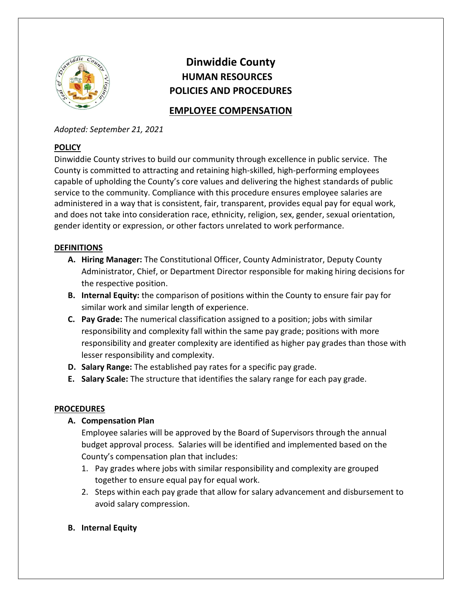

# Dinwiddie County HUMAN RESOURCES POLICIES AND PROCEDURES

# EMPLOYEE COMPENSATION

Adopted: September 21, 2021

## **POLICY**

Dinwiddie County strives to build our community through excellence in public service. The County is committed to attracting and retaining high-skilled, high-performing employees capable of upholding the County's core values and delivering the highest standards of public service to the community. Compliance with this procedure ensures employee salaries are administered in a way that is consistent, fair, transparent, provides equal pay for equal work, and does not take into consideration race, ethnicity, religion, sex, gender, sexual orientation, gender identity or expression, or other factors unrelated to work performance.

## **DEFINITIONS**

- A. Hiring Manager: The Constitutional Officer, County Administrator, Deputy County Administrator, Chief, or Department Director responsible for making hiring decisions for the respective position.
- B. Internal Equity: the comparison of positions within the County to ensure fair pay for similar work and similar length of experience.
- C. Pay Grade: The numerical classification assigned to a position; jobs with similar responsibility and complexity fall within the same pay grade; positions with more responsibility and greater complexity are identified as higher pay grades than those with lesser responsibility and complexity.
- D. Salary Range: The established pay rates for a specific pay grade.
- E. Salary Scale: The structure that identifies the salary range for each pay grade.

## **PROCEDURES**

A. Compensation Plan

Employee salaries will be approved by the Board of Supervisors through the annual budget approval process. Salaries will be identified and implemented based on the County's compensation plan that includes:

- 1. Pay grades where jobs with similar responsibility and complexity are grouped together to ensure equal pay for equal work.
- 2. Steps within each pay grade that allow for salary advancement and disbursement to avoid salary compression.
- B. Internal Equity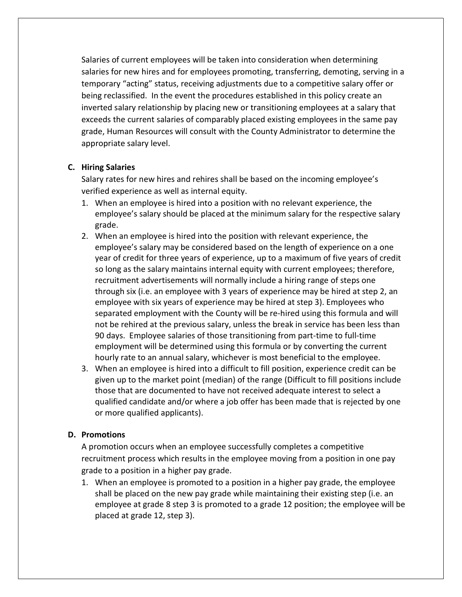Salaries of current employees will be taken into consideration when determining salaries for new hires and for employees promoting, transferring, demoting, serving in a temporary "acting" status, receiving adjustments due to a competitive salary offer or being reclassified. In the event the procedures established in this policy create an inverted salary relationship by placing new or transitioning employees at a salary that exceeds the current salaries of comparably placed existing employees in the same pay grade, Human Resources will consult with the County Administrator to determine the appropriate salary level.

#### C. Hiring Salaries

Salary rates for new hires and rehires shall be based on the incoming employee's verified experience as well as internal equity.

- 1. When an employee is hired into a position with no relevant experience, the employee's salary should be placed at the minimum salary for the respective salary grade.
- 2. When an employee is hired into the position with relevant experience, the employee's salary may be considered based on the length of experience on a one year of credit for three years of experience, up to a maximum of five years of credit so long as the salary maintains internal equity with current employees; therefore, recruitment advertisements will normally include a hiring range of steps one through six (i.e. an employee with 3 years of experience may be hired at step 2, an employee with six years of experience may be hired at step 3). Employees who separated employment with the County will be re-hired using this formula and will not be rehired at the previous salary, unless the break in service has been less than 90 days. Employee salaries of those transitioning from part-time to full-time employment will be determined using this formula or by converting the current hourly rate to an annual salary, whichever is most beneficial to the employee.
- 3. When an employee is hired into a difficult to fill position, experience credit can be given up to the market point (median) of the range (Difficult to fill positions include those that are documented to have not received adequate interest to select a qualified candidate and/or where a job offer has been made that is rejected by one or more qualified applicants).

#### D. Promotions

A promotion occurs when an employee successfully completes a competitive recruitment process which results in the employee moving from a position in one pay grade to a position in a higher pay grade.

1. When an employee is promoted to a position in a higher pay grade, the employee shall be placed on the new pay grade while maintaining their existing step (i.e. an employee at grade 8 step 3 is promoted to a grade 12 position; the employee will be placed at grade 12, step 3).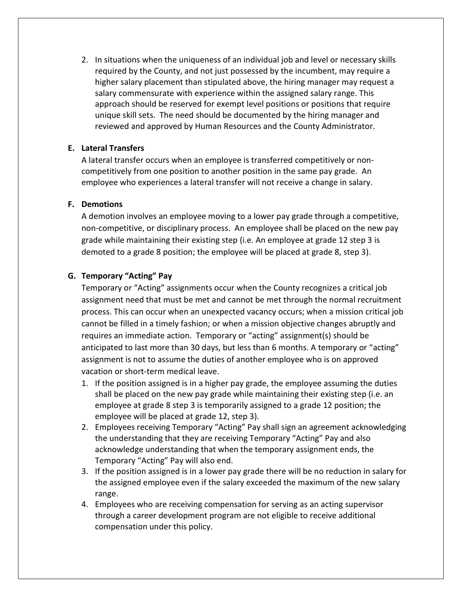2. In situations when the uniqueness of an individual job and level or necessary skills required by the County, and not just possessed by the incumbent, may require a higher salary placement than stipulated above, the hiring manager may request a salary commensurate with experience within the assigned salary range. This approach should be reserved for exempt level positions or positions that require unique skill sets. The need should be documented by the hiring manager and reviewed and approved by Human Resources and the County Administrator.

#### E. Lateral Transfers

A lateral transfer occurs when an employee is transferred competitively or noncompetitively from one position to another position in the same pay grade. An employee who experiences a lateral transfer will not receive a change in salary.

#### F. Demotions

A demotion involves an employee moving to a lower pay grade through a competitive, non-competitive, or disciplinary process. An employee shall be placed on the new pay grade while maintaining their existing step (i.e. An employee at grade 12 step 3 is demoted to a grade 8 position; the employee will be placed at grade 8, step 3).

#### G. Temporary "Acting" Pay

Temporary or "Acting" assignments occur when the County recognizes a critical job assignment need that must be met and cannot be met through the normal recruitment process. This can occur when an unexpected vacancy occurs; when a mission critical job cannot be filled in a timely fashion; or when a mission objective changes abruptly and requires an immediate action. Temporary or "acting" assignment(s) should be anticipated to last more than 30 days, but less than 6 months. A temporary or "acting" assignment is not to assume the duties of another employee who is on approved vacation or short-term medical leave.

- 1. If the position assigned is in a higher pay grade, the employee assuming the duties shall be placed on the new pay grade while maintaining their existing step (i.e. an employee at grade 8 step 3 is temporarily assigned to a grade 12 position; the employee will be placed at grade 12, step 3).
- 2. Employees receiving Temporary "Acting" Pay shall sign an agreement acknowledging the understanding that they are receiving Temporary "Acting" Pay and also acknowledge understanding that when the temporary assignment ends, the Temporary "Acting" Pay will also end.
- 3. If the position assigned is in a lower pay grade there will be no reduction in salary for the assigned employee even if the salary exceeded the maximum of the new salary range.
- 4. Employees who are receiving compensation for serving as an acting supervisor through a career development program are not eligible to receive additional compensation under this policy.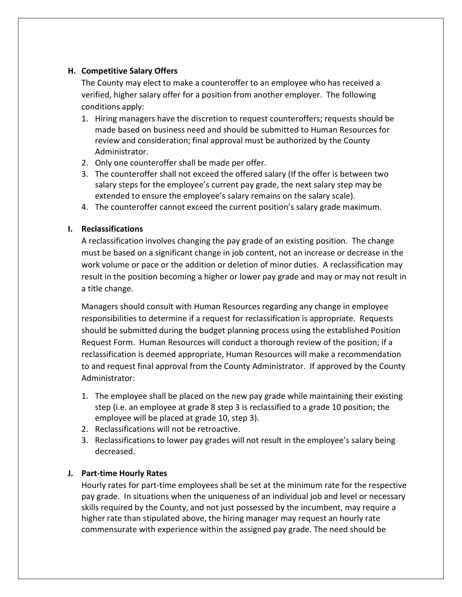#### H. Competitive Salary Offers

The County may elect to make a counteroffer to an employee who has received a verified, higher salary offer for a position from another employer. The following conditions apply:

- 1. Hiring managers have the discretion to request counteroffers; requests should be made based on business need and should be submitted to Human Resources for review and consideration; final approval must be authorized by the County Administrator.
- 2. Only one counteroffer shall be made per offer.
- 3. The counteroffer shall not exceed the offered salary (If the offer is between two salary steps for the employee's current pay grade, the next salary step may be extended to ensure the employee's salary remains on the salary scale).
- 4. The counteroffer cannot exceed the current position's salary grade maximum.

#### I. Reclassifications

A reclassification involves changing the pay grade of an existing position. The change must be based on a significant change in job content, not an increase or decrease in the work volume or pace or the addition or deletion of minor duties. A reclassification may result in the position becoming a higher or lower pay grade and may or may not result in a title change.

Managers should consult with Human Resources regarding any change in employee responsibilities to determine if a request for reclassification is appropriate. Requests should be submitted during the budget planning process using the established Position Request Form. Human Resources will conduct a thorough review of the position; if a reclassification is deemed appropriate, Human Resources will make a recommendation to and request final approval from the County Administrator. If approved by the County Administrator:

- 1. The employee shall be placed on the new pay grade while maintaining their existing step (i.e. an employee at grade 8 step 3 is reclassified to a grade 10 position; the employee will be placed at grade 10, step 3).
- 2. Reclassifications will not be retroactive.
- 3. Reclassifications to lower pay grades will not result in the employee's salary being decreased.

### J. Part-time Hourly Rates

Hourly rates for part-time employees shall be set at the minimum rate for the respective pay grade. In situations when the uniqueness of an individual job and level or necessary skills required by the County, and not just possessed by the incumbent, may require a higher rate than stipulated above, the hiring manager may request an hourly rate commensurate with experience within the assigned pay grade. The need should be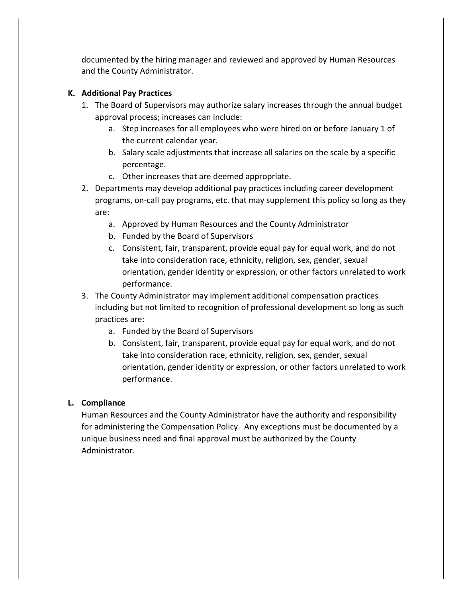documented by the hiring manager and reviewed and approved by Human Resources and the County Administrator.

### K. Additional Pay Practices

- 1. The Board of Supervisors may authorize salary increases through the annual budget approval process; increases can include:
	- a. Step increases for all employees who were hired on or before January 1 of the current calendar year.
	- b. Salary scale adjustments that increase all salaries on the scale by a specific percentage.
	- c. Other increases that are deemed appropriate.
- 2. Departments may develop additional pay practices including career development programs, on-call pay programs, etc. that may supplement this policy so long as they are:
	- a. Approved by Human Resources and the County Administrator
	- b. Funded by the Board of Supervisors
	- c. Consistent, fair, transparent, provide equal pay for equal work, and do not take into consideration race, ethnicity, religion, sex, gender, sexual orientation, gender identity or expression, or other factors unrelated to work performance.
- 3. The County Administrator may implement additional compensation practices including but not limited to recognition of professional development so long as such practices are:
	- a. Funded by the Board of Supervisors
	- b. Consistent, fair, transparent, provide equal pay for equal work, and do not take into consideration race, ethnicity, religion, sex, gender, sexual orientation, gender identity or expression, or other factors unrelated to work performance.

### L. Compliance

Human Resources and the County Administrator have the authority and responsibility for administering the Compensation Policy. Any exceptions must be documented by a unique business need and final approval must be authorized by the County Administrator.